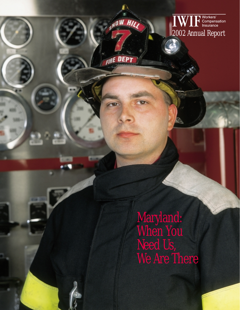

**OW HII** 

**FIRE DEPT** 

Maryland: When You Need Us, We Are There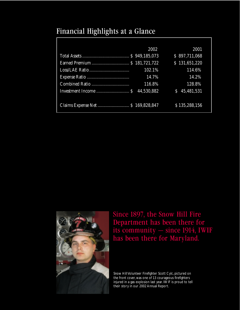### Financial Highlights at a Glance

|                                    | 2002   | 2001            |
|------------------------------------|--------|-----------------|
|                                    |        | \$897,711,068   |
|                                    |        | \$131,651,220   |
|                                    | 102.1% | 114.6%          |
|                                    | 14.7%  | 14.2%           |
|                                    | 116.8% | 128.8%          |
|                                    |        | 45,481,531<br>S |
|                                    |        |                 |
| Claims Expense Net  \$ 169,828,847 |        | \$135,288,156   |
|                                    |        |                 |



Since 1897, the Snow Hill Fire Department has been there for its community — since 1914, IWIF has been there for Maryland.

Snow Hill Volunteer Firefighter Scott Cylc, pictured on the front cover, was one of 13 courageous firefighters injured in a gas explosion last year. IWIF is proud to tell their story in our 2002 Annual Report.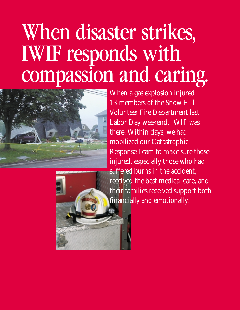## When disaster strikes, IWIF responds with compassion and caring.





When a gas explosion injured 13 members of the Snow Hill Volunteer Fire Department last Labor Day weekend, IWIF was there. Within days, we had mobilized our Catastrophic Response Team to make sure those injured, especially those who had suffered burns in the accident, received the best medical care, and their families received support both financially and emotionally.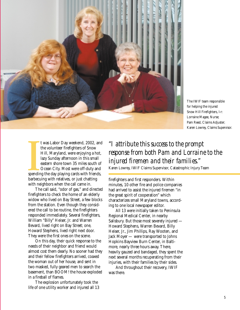

The IWIF team responsible for helping the injured Snow Hill Firefighters, l-r: Lorraine Magee, Nurse; Pam Reed, Claims Adjuster; Karen Lowrey, Claims Supervisor.

Spendin<br>Barbecu t was Labor Day weekend, 2002, and the volunteer firefighters of Snow Hill, Maryland, were enjoying a hot, lazy Sunday afternoon in this small eastern shore town 35 miles south of Ocean City. Most were off-duty and spending the day playing cards with friends, barbecuing with relatives, or just chatting with neighbors when the call came in.

The call said, "odor of gas," and directed firefighters to check the home of an elderly widow who lived on Bay Street, a few blocks from the station. Even though they considered the call to be routine, the firefighters responded immediately. Several firefighters, William "Billy" Heiser, Jr. and Warren Bevard, lived right on Bay Street; one, Howard Stephens, lived right next door. They were the first ones on the scene.

On this day, their quick response to the needs of their neighbor and friend would almost cost them dearly. No sooner had they and their fellow firefighters arrived, coaxed the woman out of her house, and sent in two masked, fully geared men to search the basement, than BOOM! the house exploded in a fireball of flames.

The explosion unfortunately took the life of one utility worker and injured all 13

*"I attribute this success to the prompt response from both Pam and Lorraine to the injured firemen and their families."*

Karen Lowrey, IWIF Claims Supervisor, Catastrophic Injury Team

firefighters and first responders. Within minutes, 10 other fire and police companies had arrived to assist the injured firemen "in the great spirit of cooperation" which characterizes small Maryland towns, according to one local newspaper editor.

All 13 were initially taken to Peninsula Regional Medical Center, in nearby Salisbury. But those most severely injured — Howard Stephens, Warren Bevard, Billy Heiser, Jr., Jim Phillips, Ray Wooten, and Jack Moyer — were transported to Johns Hopkins Bayview Burn Center, in Baltimore, nearly three hours away. There, heavily gauzed and bandaged, they spent the next several months recuperating from their injuries, with their families by their sides.

And throughout their recovery, IWIF was there.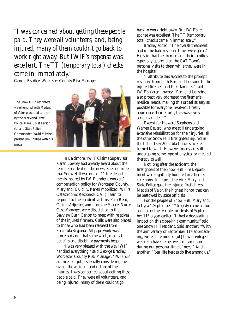*"I was concerned about getting these people paid. They were all volunteers, and, being injured, many of them couldn't go back to work right away. But IWIF's response was excellent. The TT (temporary total) checks came in immediately."*

George Bradley, Worcester County Risk Manager

The Snow Hill firefighters were honored with Medals of Valor presented to them by the Maryland State Police. Here, Chief Larson (L) and State Police Commander David Mitchell present Jim Phillips with his medal.



In Baltimore, IWIF Claims Supervisor Karen Lowrey had already heard about the terrible accident on the news. She confirmed that Snow Hill was one of 11 fire departments insured by IWIF under a workers' compensation policy for Worcester County, Maryland. Quickly, Karen mobilized IWIF's Catastrophic Response (CAT) Team to respond to the accident victims. Pam Reed, Claims Adjuster, and Lorraine Magee, Nurse Case Manager, were dispatched to the Bayview Burn Center to meet with relatives of the injured firemen. Calls were also placed to those who had been released from Peninsula Regional. All paperwork was processed and, that same week, medical benefits and disability payments began.

"I was very pleased with the way IWIF handled everything," said George Bradley, Worcester County Risk Manager. "IWIF did an excellent job, especially considering the size of the accident and nature of the injuries. I was concerned about getting these people paid. They were all volunteers, and, being injured, many of them couldn't go

back to work right away. But IWIF's response was excellent. The TT (temporary total) checks came in immediately."

Bradley added: "The overall treatment and immediate response times were great." He said that the firemen and their families especially appreciated the CAT Team's personal visits to them while they were in the hospital.

"I attribute this success to the prompt response from both Pam and Lorraine to the injured firemen and their families," said IWIF's Karen Lowrey. "Pam and Lorraine also proactively addressed the firemen's medical needs, making this ordeal as easy as possible for everyone involved. I really appreciate their efforts; this was a very serious accident."

Except for Howard Stephens and Warren Bevard, who are still undergoing extensive rehabilitation for their injuries, all the other Snow Hill firefighters injured in the Labor Day 2002 blast have since returned to work. However, many are still undergoing some type of physical or medical therapy as well.

Not long after the accident, the firefighters of the Snow Hill Fire Department were rightfully honored in a heroes' ceremony. In a special service, Maryland State Police gave the injured firefighters Medals of Valor, the highest honor that can be bestowed by state officials.

For the people of Snow Hill, Maryland, last year's September 1<sup>st</sup> tragedy came all too soon after the terrible incidents of September 11th a year earlier. "It had a devastating impact on this close-knit community," said one Snow Hill resident. Said another: "With the anniversary of September 11<sup>th</sup> approaching, we're all reminded [of] how privileged we are to have heroes we can lean upon during our personal time of need." And another: "Real life heroes do live among us."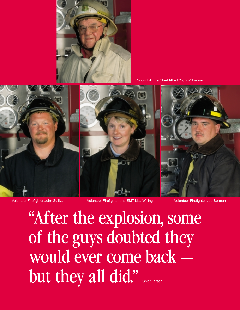

Snow Hill Fire Chief Alfred "Sonny" Larson



Volunteer Firefighter John Sullivan Volunteer Firefighter and EMT Lisa Willing Volunteer Firefighter Joe Serman

"After the explosion, some of the guys doubted they would ever come back but they all did."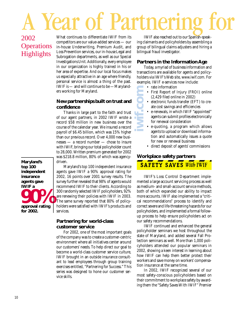# A Year of Partnering for

### 2002 **Operations** Highlights

What continues to differentiate IWIF from its competitors are our value-added services — our in-house Underwriting, Premium Audit, and Loss Prevention services, our in-house Legal and Subrogation departments, as well as our Special Investigations Unit. Additionally, every employee in our organization is highly trained in his or her area of expertise. And our local focus makes us especially attractive in an age where friendly, personal service is almost a thing of the past. IWIF is — and will continue to be —Marylanders working for Maryland.

#### **New partnerships built on trust and confidence**

Thanks in large part to the faith and trust of our agent partners, in 2002 IWIF wrote a record \$58 million in new business over the course of the calendar year. We insured a record payroll of \$6.45 billion, which was 15% higher than our previous record. Over 4,000 new businesses — a record number — chose to insure with IWIF, bringing our total policyholder count to 28,000. Written premium generated for 2002 was \$218.8 million, 80% of which was agency-

driven. Maryland's top 100 independent insurance agents gave IWIF a 90% approval rating for

2002, 16 points over 2001 survey results. The survey further revealed that 98% of agents would recommend IWIF to their clients. According to 300 randomly selected IWIF policyholders, 92% are renewing their policies with IWIF in 2003. The same survey reported that 80% of policyholders were satisfied with IWIF's products and services.

#### **Partnering for world-class customer service**

For 2002, one of the most important goals of the company was to create a customer-centric environment where all initiatives center around our customers' needs. To help direct our goal to become a world-class customer service culture, IWIF brought in an outside insurance consultant to lead employees through group training exercises entitled, "Partnering for Success." This series was designed to hone our customer service skills.

IWIF also reached out to our Spanish-speaking claimants and policyholders by assembling a group of bilingual claims adjusters and hiring a bilingual fraud investigator.

#### **Partners in the Information Age**

Today, a myriad of business information and transactions are available for agents and policyholders via IWIF's Web site, www.iwif.com. For example, IWIF e-services now include:

- rate information
- First Report of Injury (FROI) online (2,429 filed online in 2002)
- **iwif.com** • electronic funds transfer (EFT) to create cost savings and efficiencies
	- e-renewals, in which IWIF "appointed" agents can submit profiles electronically for renewal consideration
	- e-quoting, a program which allows agents to upload or download information and automatically issues a quote for new or renewal business
	- direct deposit of agents' commissions

#### **Workplace safety partners**

### **SAFETY SAVES With IWIF**

IWIF's Loss Control Department implemented a large account servicing process as well as medium- and small-account service methods, both of which expanded our ability to impact more accounts. IWIF also implemented a "critical recommendations" process to identify and correct severe and life-threatening hazards for our policyholders, and implemented a formal followup process to help ensure policyholders act on our safety recommendations.

IWIF continued and enhanced the general policyholder seminars we host throughout the state of Maryland, and added several Fall Protection seminars as well. More than 1,000 policyholders attended our popular seminars in 2002, showing a keen interest in learning about how IWIF can help them better protect their workers and save money on workers' compensation insurance at the same time.

In 2002, IWIF recognized several of our most safety-conscious policyholders based on their commitment to workplace safety by awarding them the "Safety Saves With IWIF" Premier

**Maryland's top 100 independent insurance agents gave IWIF a approval rating 90% for 2002.**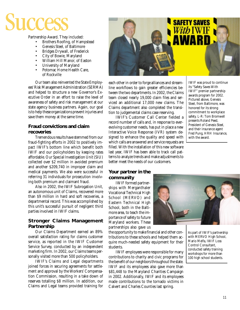# Success

Partnership Award. They included:

- Brothers Roofing, of Hampstead
- Genesis Steel, of Baltimore
- Bridges Drywall, of Frederick
- City of Bowie, Maryland
- William Hill Manor, of Easton
- University of Maryland
- Potomac Home Health Care, of Rockville

Our team also reinvented the State Employees' Risk Management Administration (SERMA) and helped to structure a new Governor's Executive Order in an effort to raise the level of awareness of safety and risk management at our state agency business partners. Again, our goal is to help these organizations prevent injuries and save them money at the same time.

#### **Fraud convictions and claim recoveries**

Tremendous results have stemmed from our fraud-fighting efforts in 2002 to positively impact IWIF's bottom line which benefit both IWIF and our policyholders by keeping rates affordable. Our Special Investigation Unit (SIU) collected over \$2 million in avoided premium and another \$209,740 in improper claim and medical payments. We also were successful in referring 31 individuals for prosecution involving both premium and claimant fraud.

Also in 2002, the IWIF Subrogation Unit, an autonomous unit of Claims, recovered more than \$9 million in hard and soft recoveries, a departmental record. This was accomplished by this unit's successful pursuit of negligent third parties involved in IWIF claims.

#### **Stronger Claims Management Partnership**

Our Claims Department earned an 89% overall satisfaction rating for claims customer service, as reported in the IWIF Customer Service Survey, conducted by an independent marketing firm. In 2002, our Claims teams personally visited more than 500 policyholders.

IWIF's Claims and Legal departments joined forces in securing agreements for settlement and approval by the Workers' Compensation Commission, resulting in a take down of reserves totalling \$8 million. In addition, our Claims and Legal teams provided training for



each other in order to forge alliances and streamline workflows to gain greater efficiencies between the two departments. In 2002, the Claims team closed nearly 19,000 claim files and serviced an additional 17,000 new claims. The Claims department also completed the transition to judgemental claims case reserving.

IWIF's Customer Call Center fielded a record number of calls and, in response to everevolving customer needs, has put in place a new Interactive Voice Response (IVR) system designed to enhance the quality and speed with which calls are answered and service requests are filled. With the installation of this new software last year, IWIF has been able to track call patterns to analyze trends and make adjustments to better meet the needs of our customers.

#### **Your partner in the community**

IWIF formed partnerships with Merganthaler Vocational Technical High School (MERVO) and Eastern Technical High School, both in the Baltimore area, to teach the importance of safety to future Maryland workers. These partnerships also gave us

the opportunity to make financial and other contributions to these schools and helped them acquire much-needed safety equipment for their students.

IWIF employees were responsible for many contributions to charity and civic programs for the benefit of our neighbors throughout the state. IWIF and its employees also gave more than \$81,448 to the Maryland Charities Campaign in 2002. Additionally, IWIF and its employees made contributions to the tornado victims in Calvert and Charles Counties last spring.

IWIF was proud to continue its "Safety Saves With IWIF" premier partnership awards program for 2002. Pictured above, Genesis Steel, from Baltimore, was honored for its strong commitment to workplace safety. L-R: Tom Bromwell presents Roland Peed, President of Genesis Steel, and their insurance agent Fred Pung, HRH Insurance, with the award.



As part of IWIF's partnership with MERVO High School, Mario Melfa, IWIF Loss Control Consultant, conducted safety training workshops for more than 100 high school students.